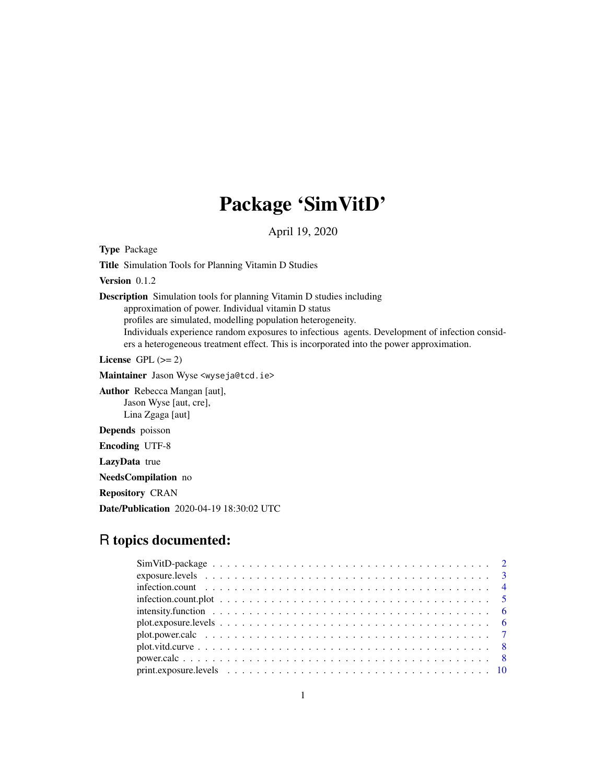## Package 'SimVitD'

April 19, 2020

Type Package

Title Simulation Tools for Planning Vitamin D Studies

Version 0.1.2

Description Simulation tools for planning Vitamin D studies including approximation of power. Individual vitamin D status profiles are simulated, modelling population heterogeneity. Individuals experience random exposures to infectious agents. Development of infection considers a heterogeneous treatment effect. This is incorporated into the power approximation.

License GPL  $(>= 2)$ 

Maintainer Jason Wyse <wyseja@tcd.ie>

Author Rebecca Mangan [aut], Jason Wyse [aut, cre], Lina Zgaga [aut]

Depends poisson

Encoding UTF-8

LazyData true

NeedsCompilation no

Repository CRAN

Date/Publication 2020-04-19 18:30:02 UTC

## R topics documented:

| intensity. function $\ldots \ldots \ldots \ldots \ldots \ldots \ldots \ldots \ldots \ldots \ldots \ldots \ldots$          |
|---------------------------------------------------------------------------------------------------------------------------|
|                                                                                                                           |
|                                                                                                                           |
| $plot. vird. curve \dots \dots \dots \dots \dots \dots \dots \dots \dots \dots \dots \dots \dots \dots \dots \dots \dots$ |
|                                                                                                                           |
|                                                                                                                           |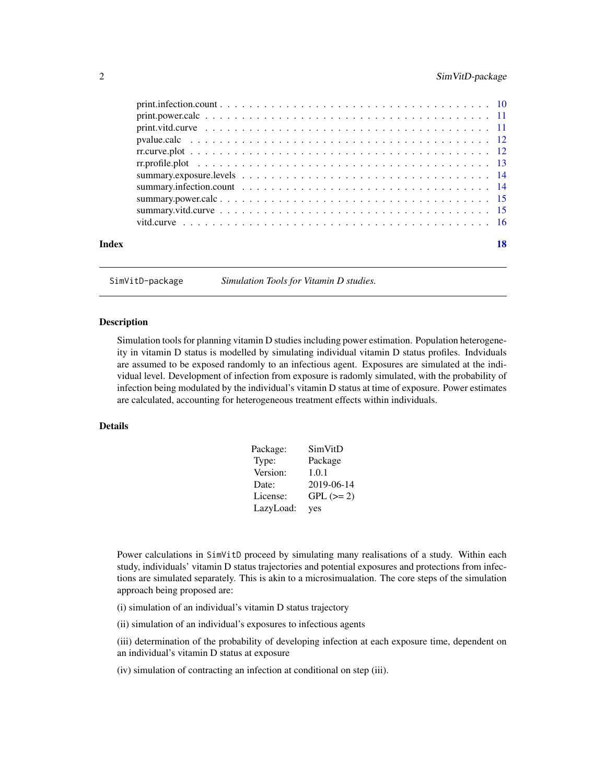## <span id="page-1-0"></span>2 SimVitD-package

| Index | 18 |
|-------|----|

SimVitD-package *Simulation Tools for Vitamin D studies.*

## **Description**

Simulation tools for planning vitamin D studies including power estimation. Population heterogeneity in vitamin D status is modelled by simulating individual vitamin D status profiles. Indviduals are assumed to be exposed randomly to an infectious agent. Exposures are simulated at the individual level. Development of infection from exposure is radomly simulated, with the probability of infection being modulated by the individual's vitamin D status at time of exposure. Power estimates are calculated, accounting for heterogeneous treatment effects within individuals.

## Details

| Package:  | SimVitD     |
|-----------|-------------|
| Type:     | Package     |
| Version:  | 1.0.1       |
| Date:     | 2019-06-14  |
| License:  | $GPL (= 2)$ |
| LazyLoad: | yes         |

Power calculations in SimVitD proceed by simulating many realisations of a study. Within each study, individuals' vitamin D status trajectories and potential exposures and protections from infections are simulated separately. This is akin to a microsimualation. The core steps of the simulation approach being proposed are:

(i) simulation of an individual's vitamin D status trajectory

(ii) simulation of an individual's exposures to infectious agents

(iii) determination of the probability of developing infection at each exposure time, dependent on an individual's vitamin D status at exposure

(iv) simulation of contracting an infection at conditional on step (iii).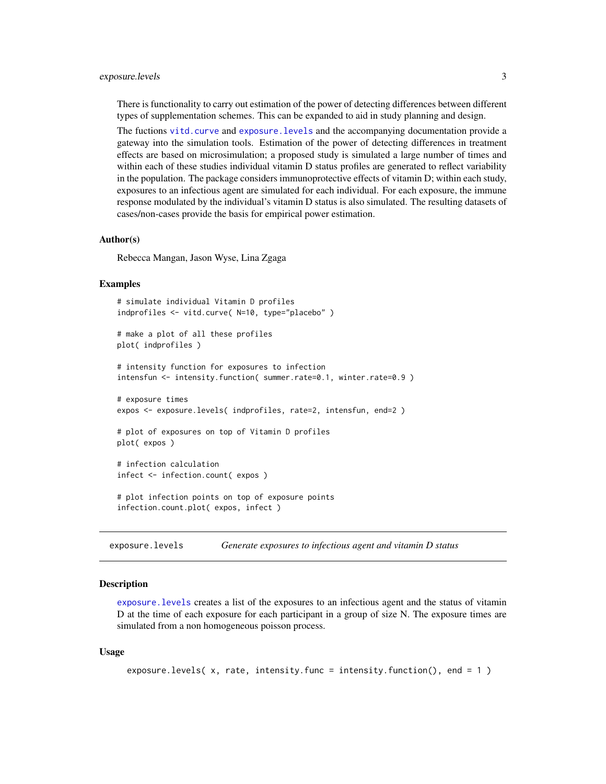#### <span id="page-2-0"></span>exposure.levels 3

There is functionality to carry out estimation of the power of detecting differences between different types of supplementation schemes. This can be expanded to aid in study planning and design.

The fuctions [vitd.curve](#page-15-1) and [exposure.levels](#page-2-1) and the accompanying documentation provide a gateway into the simulation tools. Estimation of the power of detecting differences in treatment effects are based on microsimulation; a proposed study is simulated a large number of times and within each of these studies individual vitamin D status profiles are generated to reflect variability in the population. The package considers immunoprotective effects of vitamin D; within each study, exposures to an infectious agent are simulated for each individual. For each exposure, the immune response modulated by the individual's vitamin D status is also simulated. The resulting datasets of cases/non-cases provide the basis for empirical power estimation.

#### Author(s)

Rebecca Mangan, Jason Wyse, Lina Zgaga

#### Examples

```
# simulate individual Vitamin D profiles
indprofiles <- vitd.curve( N=10, type="placebo" )
# make a plot of all these profiles
plot( indprofiles )
# intensity function for exposures to infection
intensfun <- intensity.function( summer.rate=0.1, winter.rate=0.9 )
# exposure times
expos <- exposure.levels( indprofiles, rate=2, intensfun, end=2 )
# plot of exposures on top of Vitamin D profiles
plot( expos )
# infection calculation
infect <- infection.count( expos )
# plot infection points on top of exposure points
infection.count.plot( expos, infect )
```
<span id="page-2-1"></span>exposure.levels *Generate exposures to infectious agent and vitamin D status*

#### **Description**

[exposure.levels](#page-2-1) creates a list of the exposures to an infectious agent and the status of vitamin D at the time of each exposure for each participant in a group of size N. The exposure times are simulated from a non homogeneous poisson process.

```
exposure.levels( x, rate, intensity.func = intensity.function(), end = 1 )
```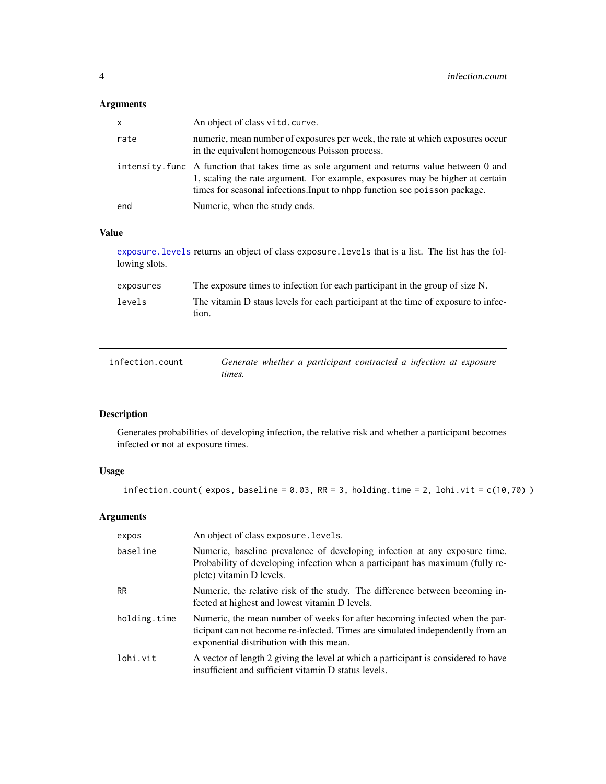## <span id="page-3-0"></span>Arguments

| x    | An object of class vitd. curve.                                                                                                                                                                                                                            |
|------|------------------------------------------------------------------------------------------------------------------------------------------------------------------------------------------------------------------------------------------------------------|
| rate | numeric, mean number of exposures per week, the rate at which exposures occur<br>in the equivalent homogeneous Poisson process.                                                                                                                            |
|      | intensity. Func A function that takes time as sole argument and returns value between 0 and<br>1, scaling the rate argument. For example, exposures may be higher at certain<br>times for seasonal infections. Input to nhpp function see poisson package. |
| end  | Numeric, when the study ends.                                                                                                                                                                                                                              |

## Value

[exposure.levels](#page-2-1) returns an object of class exposure.levels that is a list. The list has the following slots.

| exposures | The exposure times to infection for each participant in the group of size N.               |
|-----------|--------------------------------------------------------------------------------------------|
| levels    | The vitamin D staus levels for each participant at the time of exposure to infec-<br>tion. |

<span id="page-3-1"></span>

| infection.count | Generate whether a participant contracted a infection at exposure |
|-----------------|-------------------------------------------------------------------|
|                 | times.                                                            |

## Description

Generates probabilities of developing infection, the relative risk and whether a participant becomes infected or not at exposure times.

## Usage

infection.count( expos, baseline =  $0.03$ , RR = 3, holding.time = 2, lohi.vit =  $c(10, 70)$ )

| expos        | An object of class exposure. levels.                                                                                                                                                                      |
|--------------|-----------------------------------------------------------------------------------------------------------------------------------------------------------------------------------------------------------|
| baseline     | Numeric, baseline prevalence of developing infection at any exposure time.<br>Probability of developing infection when a participant has maximum (fully re-<br>plete) vitamin D levels.                   |
| <b>RR</b>    | Numeric, the relative risk of the study. The difference between becoming in-<br>fected at highest and lowest vitamin D levels.                                                                            |
| holding.time | Numeric, the mean number of weeks for after becoming infected when the par-<br>ticipant can not become re-infected. Times are simulated independently from an<br>exponential distribution with this mean. |
| lohi.vit     | A vector of length 2 giving the level at which a participant is considered to have<br>insufficient and sufficient vitamin D status levels.                                                                |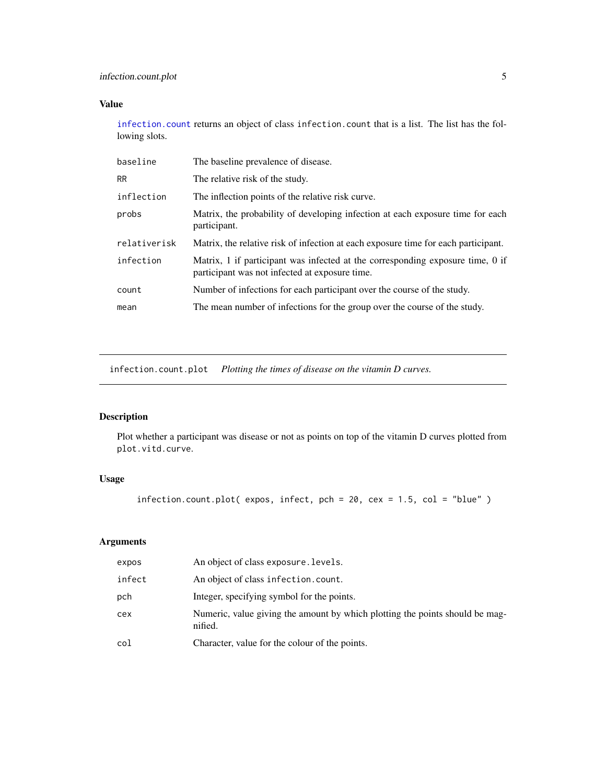## <span id="page-4-0"></span>infection.count.plot 5

## Value

[infection.count](#page-3-1) returns an object of class infection.count that is a list. The list has the following slots.

| baseline     | The baseline prevalence of disease.                                                                                              |
|--------------|----------------------------------------------------------------------------------------------------------------------------------|
| <b>RR</b>    | The relative risk of the study.                                                                                                  |
| inflection   | The inflection points of the relative risk curve.                                                                                |
| probs        | Matrix, the probability of developing infection at each exposure time for each<br>participant.                                   |
| relativerisk | Matrix, the relative risk of infection at each exposure time for each participant.                                               |
| infection    | Matrix, 1 if participant was infected at the corresponding exposure time, 0 if<br>participant was not infected at exposure time. |
| count        | Number of infections for each participant over the course of the study.                                                          |
| mean         | The mean number of infections for the group over the course of the study.                                                        |
|              |                                                                                                                                  |

infection.count.plot *Plotting the times of disease on the vitamin D curves.*

## Description

Plot whether a participant was disease or not as points on top of the vitamin D curves plotted from plot.vitd.curve.

## Usage

infection.count.plot( expos, infect, pch = 20, cex = 1.5, col = "blue" )

| expos  | An object of class exposure. Levels.                                                    |
|--------|-----------------------------------------------------------------------------------------|
| infect | An object of class infection.count.                                                     |
| pch    | Integer, specifying symbol for the points.                                              |
| cex    | Numeric, value giving the amount by which plotting the points should be mag-<br>nified. |
| col    | Character, value for the colour of the points.                                          |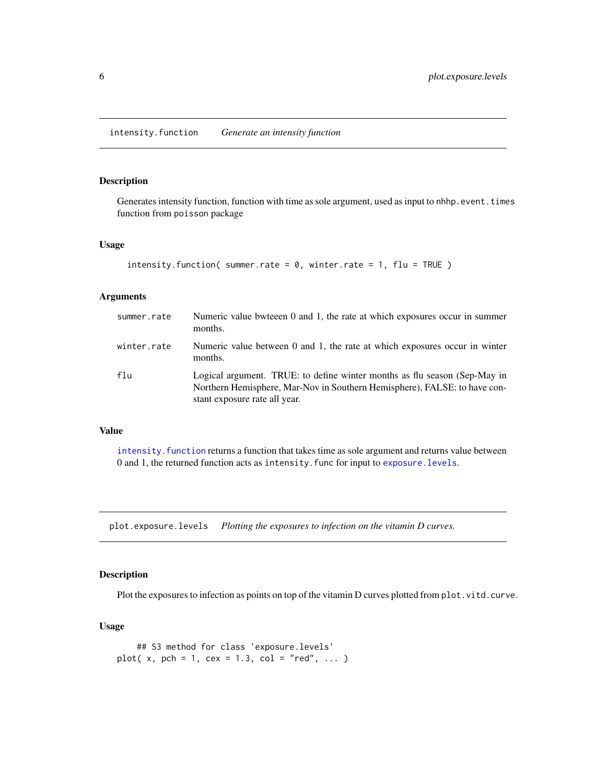<span id="page-5-1"></span><span id="page-5-0"></span>Generates intensity function, function with time as sole argument, used as input to nhhp.event.times function from poisson package

#### Usage

```
intensity.function( summer.rate = 0, winter.rate = 1, flu = TRUE)
```
#### Arguments

| summer.rate | Numeric value bwteeen 0 and 1, the rate at which exposures occur in summer<br>months.                                                                                                   |
|-------------|-----------------------------------------------------------------------------------------------------------------------------------------------------------------------------------------|
| winter.rate | Numeric value between 0 and 1, the rate at which exposures occur in winter<br>months.                                                                                                   |
| flu         | Logical argument. TRUE: to define winter months as flu season (Sep-May in<br>Northern Hemisphere, Mar-Nov in Southern Hemisphere), FALSE: to have con-<br>stant exposure rate all year. |

#### Value

[intensity.function](#page-5-1) returns a function that takes time as sole argument and returns value between 0 and 1, the returned function acts as intensity.func for input to [exposure.levels](#page-2-1).

plot.exposure.levels *Plotting the exposures to infection on the vitamin D curves.*

#### Description

Plot the exposures to infection as points on top of the vitamin D curves plotted from plot. vitd. curve.

```
## S3 method for class 'exposure.levels'
plot( x, pch = 1, cex = 1.3, col = "red", ... )
```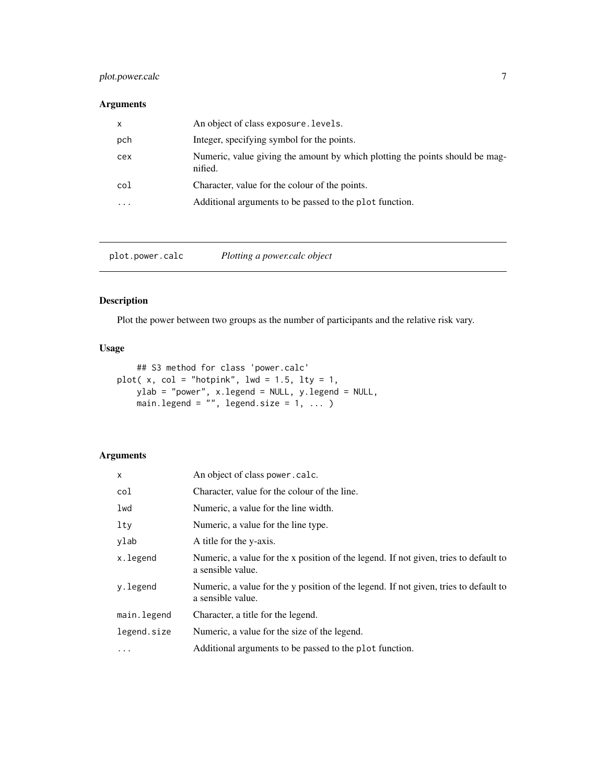## <span id="page-6-0"></span>plot.power.calc 7

## Arguments

| $\mathsf{x}$ | An object of class exposure. levels.                                                    |
|--------------|-----------------------------------------------------------------------------------------|
| pch          | Integer, specifying symbol for the points.                                              |
| cex          | Numeric, value giving the amount by which plotting the points should be mag-<br>nified. |
| col          | Character, value for the colour of the points.                                          |
| .            | Additional arguments to be passed to the plot function.                                 |

plot.power.calc *Plotting a power.calc object*

## Description

Plot the power between two groups as the number of participants and the relative risk vary.

## Usage

```
## S3 method for class 'power.calc'
plot(x, col = "hotpink", lwd = 1.5, lty = 1,ylab = "power", x.legend = NULL, y.legend = NULL,
    main.legend = ", legend.size = 1, ... )
```

| $\times$    | An object of class power.calc.                                                                            |
|-------------|-----------------------------------------------------------------------------------------------------------|
| col         | Character, value for the colour of the line.                                                              |
| lwd         | Numeric, a value for the line width.                                                                      |
| lty         | Numeric, a value for the line type.                                                                       |
| ylab        | A title for the y-axis.                                                                                   |
| x.legend    | Numeric, a value for the x position of the legend. If not given, tries to default to<br>a sensible value. |
| y.legend    | Numeric, a value for the y position of the legend. If not given, tries to default to<br>a sensible value. |
| main.legend | Character, a title for the legend.                                                                        |
| legend.size | Numeric, a value for the size of the legend.                                                              |
| $\ddotsc$   | Additional arguments to be passed to the plot function.                                                   |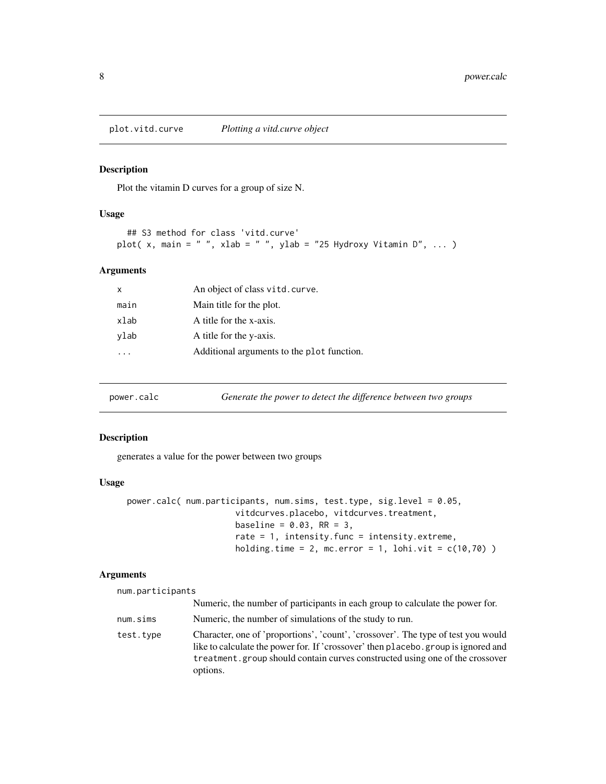<span id="page-7-0"></span>plot.vitd.curve *Plotting a vitd.curve object*

#### Description

Plot the vitamin D curves for a group of size N.

## Usage

```
## S3 method for class 'vitd.curve'
plot( x, main = " ", xlab = " ", ylab = "25 Hydroxy Vitamin D", ... )
```
## Arguments

| X    | An object of class vitd. curve.            |
|------|--------------------------------------------|
| main | Main title for the plot.                   |
| xlab | A title for the x-axis.                    |
| ylab | A title for the y-axis.                    |
|      | Additional arguments to the plot function. |
|      |                                            |

<span id="page-7-1"></span>

| power.calc | Generate the power to detect the difference between two groups |  |
|------------|----------------------------------------------------------------|--|
|            |                                                                |  |

#### Description

generates a value for the power between two groups

#### Usage

```
power.calc( num.participants, num.sims, test.type, sig.level = 0.05,
                      vitdcurves.placebo, vitdcurves.treatment,
                      baseline = 0.03, RR = 3,
                      rate = 1, intensity.func = intensity.extreme,
                      holding.time = 2, mc.error = 1, lohi.vit = c(10,70) )
```

|  |  | num.participants |  |
|--|--|------------------|--|
|  |  |                  |  |

|           | Numeric, the number of participants in each group to calculate the power for.                                                                                                                                                                                       |
|-----------|---------------------------------------------------------------------------------------------------------------------------------------------------------------------------------------------------------------------------------------------------------------------|
| num.sims  | Numeric, the number of simulations of the study to run.                                                                                                                                                                                                             |
| test.tvpe | Character, one of 'proportions', 'count', 'crossover'. The type of test you would<br>like to calculate the power for. If 'crossover' then placebo.group is ignored and<br>treatment, group should contain curves constructed using one of the crossover<br>options. |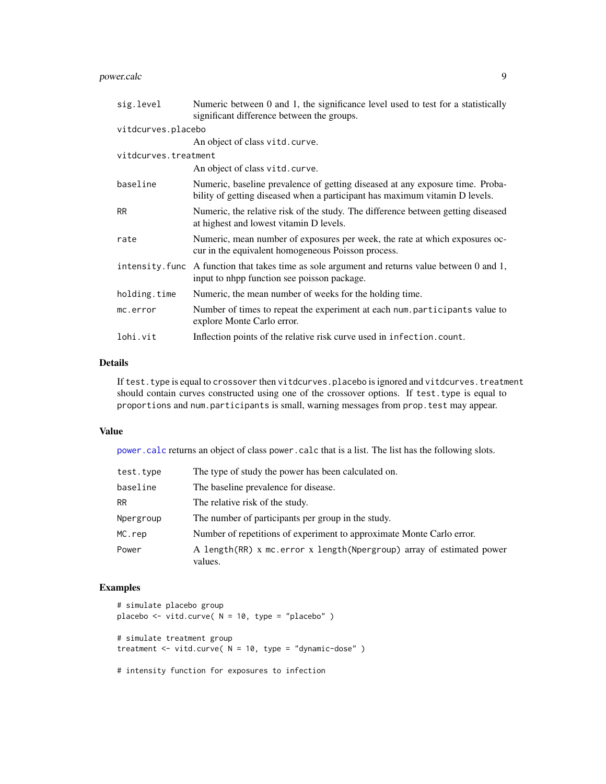## <span id="page-8-0"></span>power.calc 9

| sig.level            | Numeric between 0 and 1, the significance level used to test for a statistically<br>significant difference between the groups.                               |  |
|----------------------|--------------------------------------------------------------------------------------------------------------------------------------------------------------|--|
| vitdcurves.placebo   |                                                                                                                                                              |  |
|                      | An object of class vitd. curve.                                                                                                                              |  |
| vitdcurves.treatment |                                                                                                                                                              |  |
|                      | An object of class vitd. curve.                                                                                                                              |  |
| baseline             | Numeric, baseline prevalence of getting diseased at any exposure time. Proba-<br>bility of getting diseased when a participant has maximum vitamin D levels. |  |
| <b>RR</b>            | Numeric, the relative risk of the study. The difference between getting diseased<br>at highest and lowest vitamin D levels.                                  |  |
| rate                 | Numeric, mean number of exposures per week, the rate at which exposures oc-<br>cur in the equivalent homogeneous Poisson process.                            |  |
|                      | intensity. func A function that takes time as sole argument and returns value between 0 and 1,<br>input to nhpp function see poisson package.                |  |
| holding.time         | Numeric, the mean number of weeks for the holding time.                                                                                                      |  |
| mc.error             | Number of times to repeat the experiment at each num.participants value to<br>explore Monte Carlo error.                                                     |  |
| lohi.vit             | Inflection points of the relative risk curve used in infection.count.                                                                                        |  |

## Details

If test.type is equal to crossover then vitdcurves.placebo is ignored and vitdcurves.treatment should contain curves constructed using one of the crossover options. If test.type is equal to proportions and num.participants is small, warning messages from prop.test may appear.

#### Value

[power.calc](#page-7-1) returns an object of class power.calc that is a list. The list has the following slots.

| test.type | The type of study the power has been calculated on.                                |
|-----------|------------------------------------------------------------------------------------|
| baseline  | The baseline prevalence for disease.                                               |
| RR        | The relative risk of the study.                                                    |
| Npergroup | The number of participants per group in the study.                                 |
| MC.rep    | Number of repetitions of experiment to approximate Monte Carlo error.              |
| Power     | A length (RR) x mc. error x length (Npergroup) array of estimated power<br>values. |

## Examples

```
# simulate placebo group
placebo <- vitd.curve( N = 10, type = "placebo" )
# simulate treatment group
treatment <- vitd.curve( N = 10, type = "dynamic-dose" )
```
# intensity function for exposures to infection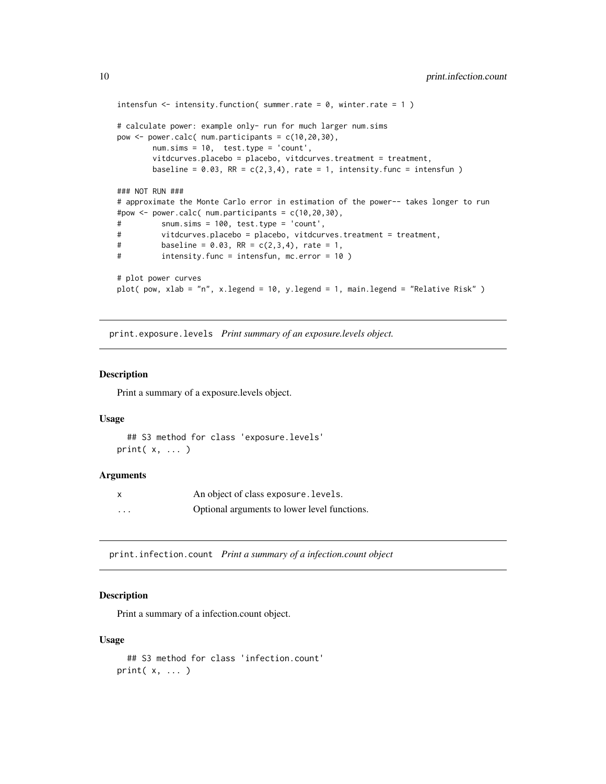```
intensfun \le intensity. function( summer. rate = 0, winter. rate = 1)
# calculate power: example only- run for much larger num.sims
pow \leq power.calc( num.participants = c(10, 20, 30),
       num.sims = 10, test.type = 'count',
       vitdcurves.placebo = placebo, vitdcurves.treatment = treatment,
       baseline = 0.03, RR = c(2,3,4), rate = 1, intensity. func = intensfun )
### NOT RUN ###
# approximate the Monte Carlo error in estimation of the power-- takes longer to run
#pow <- power.calc( num.participants = c(10,20,30),
# snum.sims = 100, test.type = 'count',
# vitdcurves.placebo = placebo, vitdcurves.treatment = treatment,
# baseline = 0.03, RR = c(2,3,4), rate = 1,
# intensity.func = intensfun, mc.error = 10 )
# plot power curves
plot( pow, xlab = "n", x.legend = 10, y.legend = 1, main.legend = "Relative Risk" )
```
print.exposure.levels *Print summary of an exposure.levels object.*

#### Description

Print a summary of a exposure.levels object.

#### Usage

```
## S3 method for class 'exposure.levels'
print(x, \ldots)
```
#### Arguments

| $\mathsf{x}$ | An object of class exposure. Levels.         |
|--------------|----------------------------------------------|
| $\cdots$     | Optional arguments to lower level functions. |

print.infection.count *Print a summary of a infection.count object*

#### **Description**

Print a summary of a infection.count object.

```
## S3 method for class 'infection.count'
print(x, \ldots)
```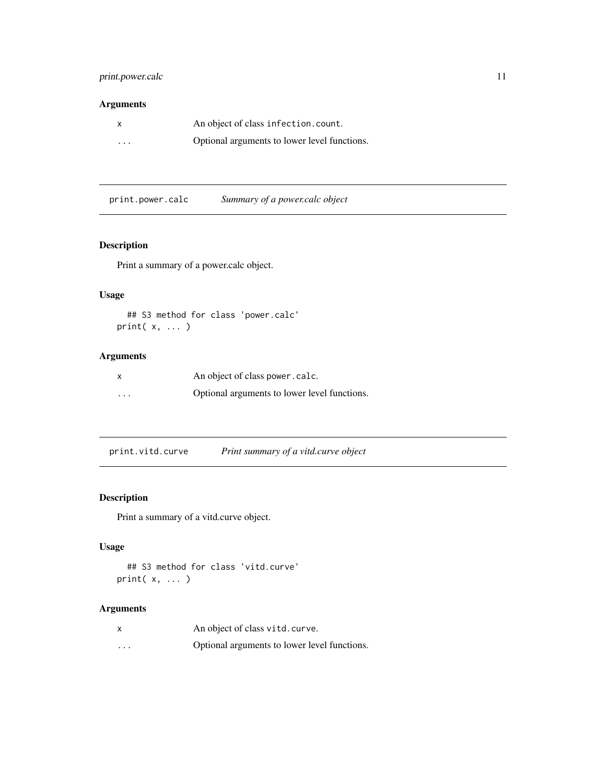## <span id="page-10-0"></span>print.power.calc 11

## Arguments

| $\mathsf{x}$ | An object of class infection.count.          |
|--------------|----------------------------------------------|
| $\cdots$     | Optional arguments to lower level functions. |

print.power.calc *Summary of a power.calc object*

## Description

Print a summary of a power.calc object.

## Usage

```
## S3 method for class 'power.calc'
print( x, ... )
```
## Arguments

| $\boldsymbol{\mathsf{x}}$ | An object of class power.calc.               |
|---------------------------|----------------------------------------------|
| $\cdots$                  | Optional arguments to lower level functions. |

print.vitd.curve *Print summary of a vitd.curve object*

## Description

Print a summary of a vitd.curve object.

## Usage

```
## S3 method for class 'vitd.curve'
print( x, ... )
```

| x        | An object of class vitd. curve.              |
|----------|----------------------------------------------|
| $\cdots$ | Optional arguments to lower level functions. |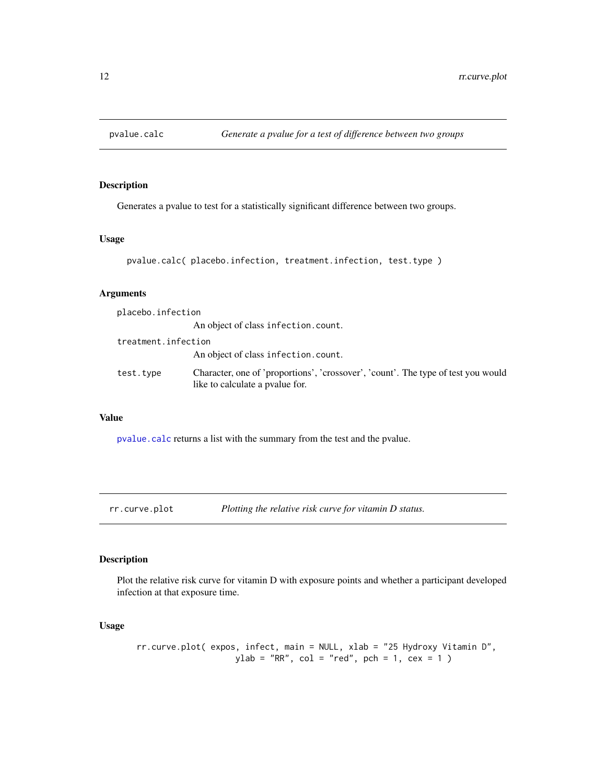<span id="page-11-1"></span><span id="page-11-0"></span>

Generates a pvalue to test for a statistically significant difference between two groups.

## Usage

```
pvalue.calc( placebo.infection, treatment.infection, test.type )
```
## Arguments

| placebo.infection   |                                                                                                                      |
|---------------------|----------------------------------------------------------------------------------------------------------------------|
|                     | An object of class infection.count.                                                                                  |
| treatment.infection |                                                                                                                      |
|                     | An object of class infection.count.                                                                                  |
| test.type           | Character, one of 'proportions', 'crossover', 'count'. The type of test you would<br>like to calculate a pvalue for. |

#### Value

[pvalue.calc](#page-11-1) returns a list with the summary from the test and the pvalue.

rr.curve.plot *Plotting the relative risk curve for vitamin D status.*

## Description

Plot the relative risk curve for vitamin D with exposure points and whether a participant developed infection at that exposure time.

```
rr.curve.plot( expos, infect, main = NULL, xlab = "25 Hydroxy Vitamin D",
                   ylab = "RR", col = "red", pch = 1, cex = 1)
```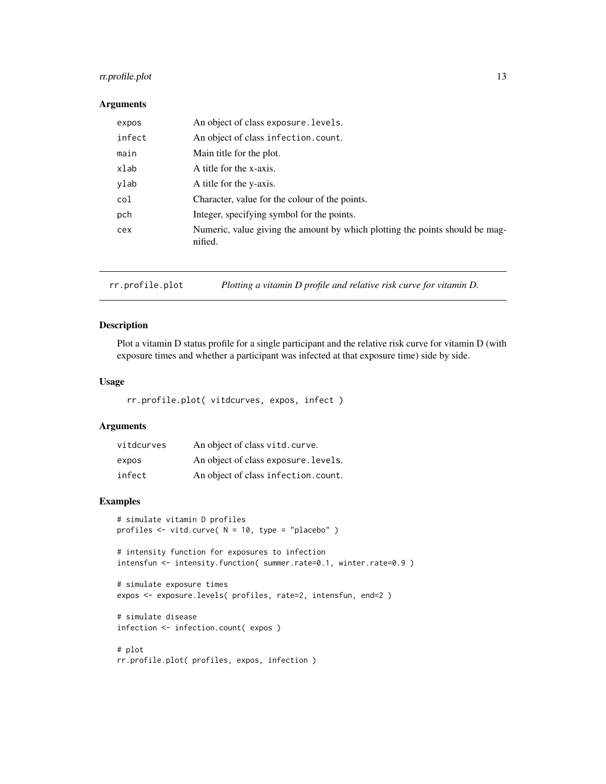## <span id="page-12-0"></span>rr.profile.plot 13

#### Arguments

| expos  | An object of class exposure. levels.                                                    |
|--------|-----------------------------------------------------------------------------------------|
| infect | An object of class infection.count.                                                     |
| main   | Main title for the plot.                                                                |
| xlab   | A title for the x-axis.                                                                 |
| ylab   | A title for the y-axis.                                                                 |
| col    | Character, value for the colour of the points.                                          |
| pch    | Integer, specifying symbol for the points.                                              |
| cex    | Numeric, value giving the amount by which plotting the points should be mag-<br>nified. |

rr.profile.plot *Plotting a vitamin D profile and relative risk curve for vitamin D.*

#### Description

Plot a vitamin D status profile for a single participant and the relative risk curve for vitamin D (with exposure times and whether a participant was infected at that exposure time) side by side.

## Usage

rr.profile.plot( vitdcurves, expos, infect )

## Arguments

| vitdcurves | An object of class vitd. curve.      |
|------------|--------------------------------------|
| expos      | An object of class exposure. Levels. |
| infect     | An object of class infection.count.  |

## Examples

```
# simulate vitamin D profiles
profiles <- vitd.curve( N = 10, type = "placebo" )
```
# intensity function for exposures to infection intensfun <- intensity.function( summer.rate=0.1, winter.rate=0.9 )

```
# simulate exposure times
expos <- exposure.levels( profiles, rate=2, intensfun, end=2 )
```

```
# simulate disease
infection <- infection.count( expos )
```

```
# plot
rr.profile.plot( profiles, expos, infection )
```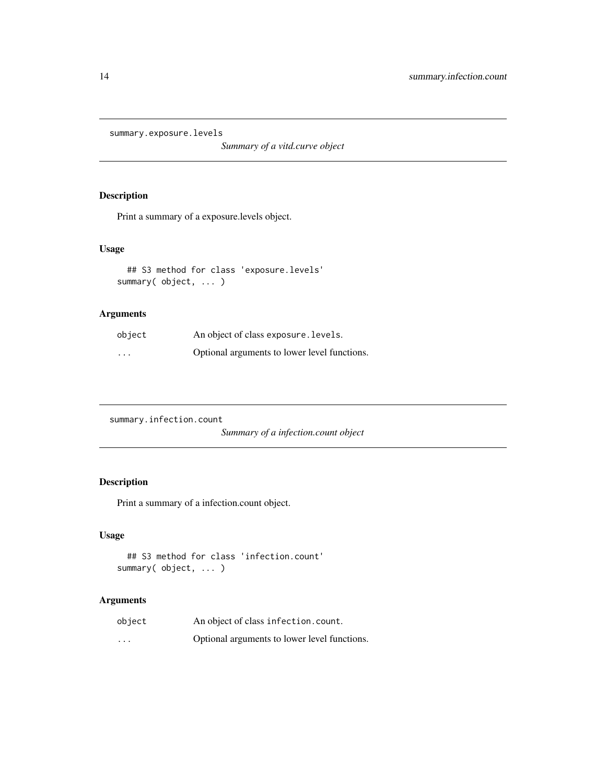<span id="page-13-0"></span>summary.exposure.levels

*Summary of a vitd.curve object*

## Description

Print a summary of a exposure.levels object.

## Usage

```
## S3 method for class 'exposure.levels'
summary( object, ... )
```
## Arguments

| object   | An object of class exposure. levels.         |
|----------|----------------------------------------------|
| $\cdots$ | Optional arguments to lower level functions. |

summary.infection.count

*Summary of a infection.count object*

## Description

Print a summary of a infection.count object.

### Usage

```
## S3 method for class 'infection.count'
summary( object, ... )
```

| object                  | An object of class infection.count.          |
|-------------------------|----------------------------------------------|
| $\cdot$ $\cdot$ $\cdot$ | Optional arguments to lower level functions. |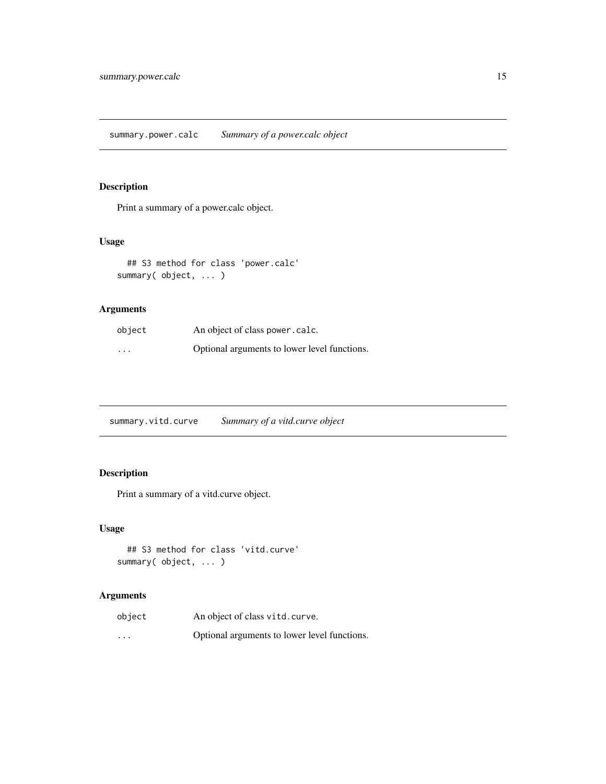<span id="page-14-0"></span>Print a summary of a power.calc object.

## Usage

```
## S3 method for class 'power.calc'
summary( object, ... )
```
## Arguments

| object   | An object of class power . calc.             |
|----------|----------------------------------------------|
| $\cdots$ | Optional arguments to lower level functions. |

summary.vitd.curve *Summary of a vitd.curve object*

## Description

Print a summary of a vitd.curve object.

## Usage

```
## S3 method for class 'vitd.curve'
summary( object, ... )
```

| object                  | An object of class vitd. curve.              |
|-------------------------|----------------------------------------------|
| $\cdot$ $\cdot$ $\cdot$ | Optional arguments to lower level functions. |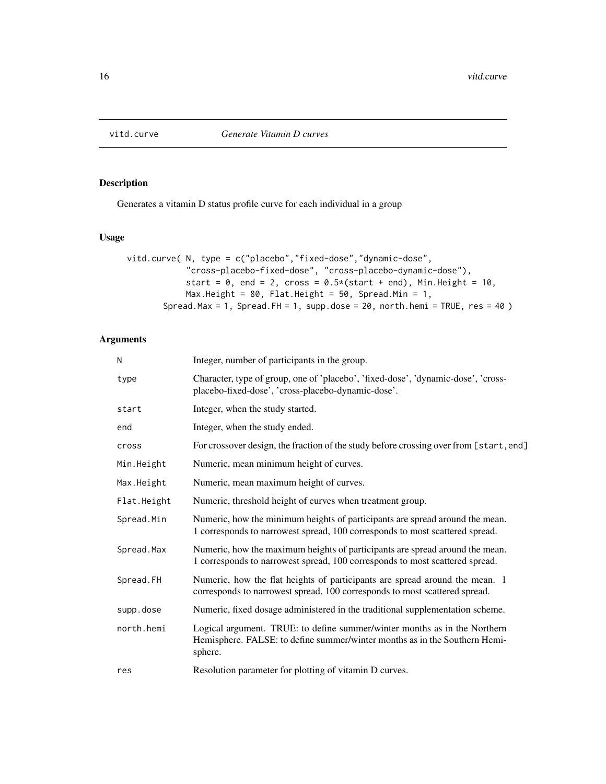<span id="page-15-1"></span><span id="page-15-0"></span>

Generates a vitamin D status profile curve for each individual in a group

#### Usage

```
vitd.curve( N, type = c("placebo","fixed-dose","dynamic-dose",
            "cross-placebo-fixed-dose", "cross-placebo-dynamic-dose"),
            start = 0, end = 2, cross = 0.5*(start + end), Min.Height = 10,
            Max.Height = 80, Flat.Height = 50, Spread.Min = 1,
       Spread.Max = 1, Spread.FH = 1, supp.dose = 20, north.hemi = TRUE, res = 40)
```

| N           | Integer, number of participants in the group.                                                                                                                      |
|-------------|--------------------------------------------------------------------------------------------------------------------------------------------------------------------|
| type        | Character, type of group, one of 'placebo', 'fixed-dose', 'dynamic-dose', 'cross-<br>placebo-fixed-dose', 'cross-placebo-dynamic-dose'.                            |
| start       | Integer, when the study started.                                                                                                                                   |
| end         | Integer, when the study ended.                                                                                                                                     |
| cross       | For crossover design, the fraction of the study before crossing over from [start, end]                                                                             |
| Min.Height  | Numeric, mean minimum height of curves.                                                                                                                            |
| Max.Height  | Numeric, mean maximum height of curves.                                                                                                                            |
| Flat.Height | Numeric, threshold height of curves when treatment group.                                                                                                          |
| Spread.Min  | Numeric, how the minimum heights of participants are spread around the mean.<br>1 corresponds to narrowest spread, 100 corresponds to most scattered spread.       |
| Spread.Max  | Numeric, how the maximum heights of participants are spread around the mean.<br>1 corresponds to narrowest spread, 100 corresponds to most scattered spread.       |
| Spread.FH   | Numeric, how the flat heights of participants are spread around the mean. 1<br>corresponds to narrowest spread, 100 corresponds to most scattered spread.          |
| supp.dose   | Numeric, fixed dosage administered in the traditional supplementation scheme.                                                                                      |
| north.hemi  | Logical argument. TRUE: to define summer/winter months as in the Northern<br>Hemisphere. FALSE: to define summer/winter months as in the Southern Hemi-<br>sphere. |
| res         | Resolution parameter for plotting of vitamin D curves.                                                                                                             |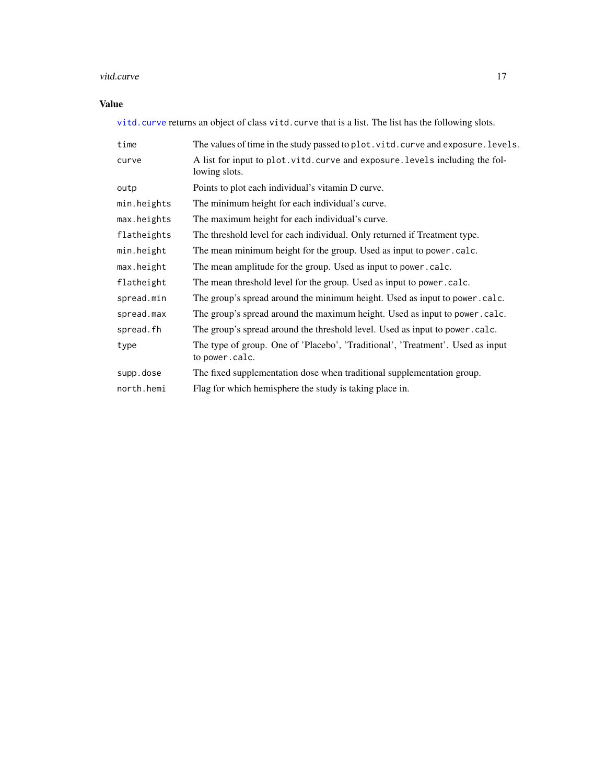## <span id="page-16-0"></span>vitd.curve 17

## Value

[vitd.curve](#page-15-1) returns an object of class vitd.curve that is a list. The list has the following slots.

| time        | The values of time in the study passed to plot. vitd. curve and exposure. levels.                |
|-------------|--------------------------------------------------------------------------------------------------|
| curve       | A list for input to plot. vitd. curve and exposure. levels including the fol-<br>lowing slots.   |
| outp        | Points to plot each individual's vitamin D curve.                                                |
| min.heights | The minimum height for each individual's curve.                                                  |
| max.heights | The maximum height for each individual's curve.                                                  |
| flatheights | The threshold level for each individual. Only returned if Treatment type.                        |
| min.height  | The mean minimum height for the group. Used as input to power.calc.                              |
| max.height  | The mean amplitude for the group. Used as input to power.calc.                                   |
| flatheight  | The mean threshold level for the group. Used as input to power . calc.                           |
| spread.min  | The group's spread around the minimum height. Used as input to power.calc.                       |
| spread.max  | The group's spread around the maximum height. Used as input to power.calc.                       |
| spread.fh   | The group's spread around the threshold level. Used as input to power.calc.                      |
| type        | The type of group. One of 'Placebo', 'Traditional', 'Treatment'. Used as input<br>to power.calc. |
| supp.dose   | The fixed supplementation dose when traditional supplementation group.                           |
| north.hemi  | Flag for which hemisphere the study is taking place in.                                          |